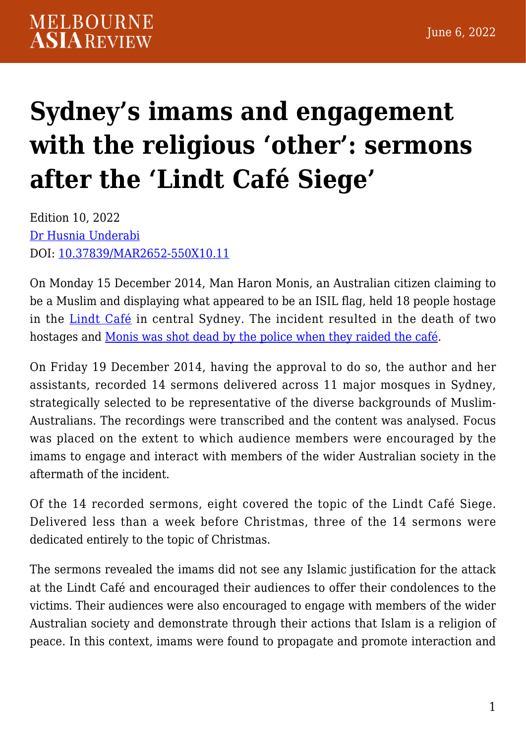## **[Sydney's imams and engagement](https://melbourneasiareview.edu.au/sydneys-imams-and-engagement-with-the-religious-other-sermons-after-the-lindt-cafe-siege/) [with the religious 'other': sermons](https://melbourneasiareview.edu.au/sydneys-imams-and-engagement-with-the-religious-other-sermons-after-the-lindt-cafe-siege/) [after the 'Lindt Café Siege'](https://melbourneasiareview.edu.au/sydneys-imams-and-engagement-with-the-religious-other-sermons-after-the-lindt-cafe-siege/)**

Edition 10, 2022 [Dr Husnia Underabi](https://www.westernsydney.edu.au/challengingracism/challenging_racism_project/our_people) DOI: 10.37839/MAR2652-550X10.11

On Monday 15 December 2014, Man Haron Monis, an Australian citizen claiming to be a Muslim and displaying what appeared to be an ISIL flag, held 18 people hostage in the [Lindt Café](https://www.lindtinquest.justice.nsw.gov.au/Documents/findings-and-recommendations.pdf) in central Sydney. The incident resulted in the death of two hostages and [Monis was shot dead by the police when they raided the café.](https://www.dailytelegraph.com.au/news/nsw/martin-place-siege-gunman-man-horan-monis-buried-in-undisclosed-location-in-nsw/news-story/3df42ca6e7086b2cc21495011937fa83)

On Friday 19 December 2014, having the approval to do so, the author and her assistants, recorded 14 sermons delivered across 11 major mosques in Sydney, strategically selected to be representative of the diverse backgrounds of Muslim-Australians. The recordings were transcribed and the content was analysed. Focus was placed on the extent to which audience members were encouraged by the imams to engage and interact with members of the wider Australian society in the aftermath of the incident.

Of the 14 recorded sermons, eight covered the topic of the Lindt Café Siege. Delivered less than a week before Christmas, three of the 14 sermons were dedicated entirely to the topic of Christmas.

The sermons revealed the imams did not see any Islamic justification for the attack at the Lindt Café and encouraged their audiences to offer their condolences to the victims. Their audiences were also encouraged to engage with members of the wider Australian society and demonstrate through their actions that Islam is a religion of peace. In this context, imams were found to propagate and promote interaction and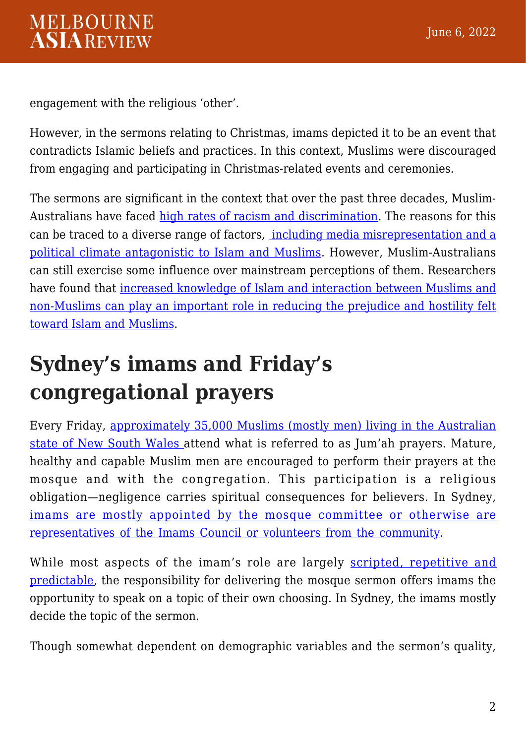engagement with the religious 'other'.

However, in the sermons relating to Christmas, imams depicted it to be an event that contradicts Islamic beliefs and practices. In this context, Muslims were discouraged from engaging and participating in Christmas-related events and ceremonies.

The sermons are significant in the context that over the past three decades, MuslimAustralians have faced [high rates of racism and discrimination](https://researchdirect.westernsydney.edu.au/islandora/object/uws%253A33023/datastream/PDF/view). The reasons for this can be traced to a diverse range of factors, [including media misrepresentation and a](https://doaj.org/article/c0381fb88b434572ace5a56fa1391d41) [political climate antagonistic to Islam and Muslims.](https://doaj.org/article/c0381fb88b434572ace5a56fa1391d41) However, Muslim-Australians can still exercise some influence over mainstream perceptions of them. Researchers have found that [increased knowledge of Islam and interaction between Muslims and](https://www.researchgate.net/publication/326585179_Intercultural_contact_knowledge_of_Islam_and_prejudice_against_muslims_in_Australia) [non-Muslims can play an important role in reducing the prejudice and hostility felt](https://www.researchgate.net/publication/326585179_Intercultural_contact_knowledge_of_Islam_and_prejudice_against_muslims_in_Australia) [toward Islam and Muslims](https://www.researchgate.net/publication/326585179_Intercultural_contact_knowledge_of_Islam_and_prejudice_against_muslims_in_Australia).

## **Sydney's imams and Friday's congregational prayers**

Every Friday, [approximately 35,000 Muslims \(mostly men\) living in the Australian](https://www.westernsydney.edu.au/__data/assets/pdf_file/0003/754140/IS0001_ISRA_NSW_Msq_Rprt.pdf) [state of New South Wales](https://www.westernsydney.edu.au/__data/assets/pdf_file/0003/754140/IS0001_ISRA_NSW_Msq_Rprt.pdf) attend what is referred to as Jum'ah prayers. Mature, healthy and capable Muslim men are encouraged to perform their prayers at the mosque and with the congregation. This participation is a religious obligation—negligence carries spiritual consequences for believers. In Sydney, [imams are mostly appointed by the mosque committee or otherwise are](https://www.westernsydney.edu.au/__data/assets/pdf_file/0003/754140/IS0001_ISRA_NSW_Msq_Rprt.pdf) [representatives of the Imams Council or volunteers from the community](https://www.westernsydney.edu.au/__data/assets/pdf_file/0003/754140/IS0001_ISRA_NSW_Msq_Rprt.pdf).

While most aspects of the imam's role are largely [scripted, repetitive and](https://researchdirect.westernsydney.edu.au/islandora/object/uws:46114) [predictable](https://researchdirect.westernsydney.edu.au/islandora/object/uws:46114), the responsibility for delivering the mosque sermon offers imams the opportunity to speak on a topic of their own choosing. In Sydney, the imams mostly decide the topic of the sermon.

Though somewhat dependent on demographic variables and the sermon's quality,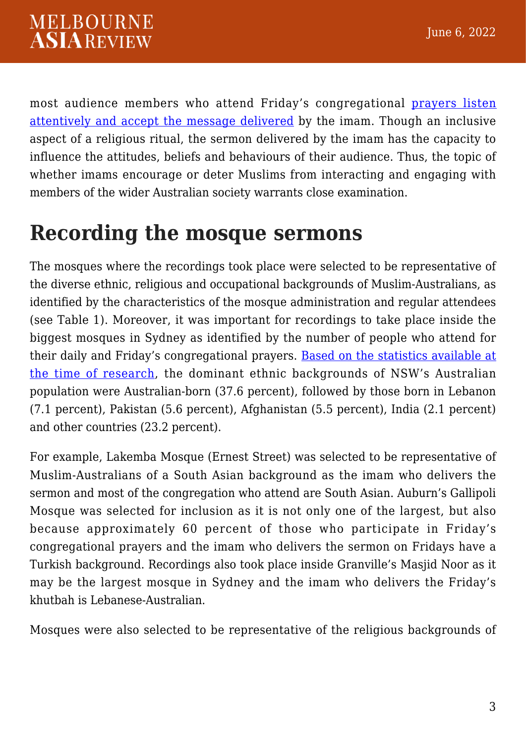most audience members who attend Friday's congregational [prayers listen](https://researchdirect.westernsydney.edu.au/islandora/object/uws:46114) [attentively and accept the message delivered](https://researchdirect.westernsydney.edu.au/islandora/object/uws:46114) by the imam. Though an inclusive aspect of a religious ritual, the sermon delivered by the imam has the capacity to influence the attitudes, beliefs and behaviours of their audience. Thus, the topic of whether imams encourage or deter Muslims from interacting and engaging with members of the wider Australian society warrants close examination.

#### **Recording the mosque sermons**

The mosques where the recordings took place were selected to be representative of the diverse ethnic, religious and occupational backgrounds of Muslim-Australians, as identified by the characteristics of the mosque administration and regular attendees (see Table 1). Moreover, it was important for recordings to take place inside the biggest mosques in Sydney as identified by the number of people who attend for their daily and Friday's congregational prayers. [Based on the statistics available at](https://www.unisa.edu.au/siteassets/episerver-6-files/global/eass/mnm/publications/australian_muslims_report_2015.pdf) [the time of research](https://www.unisa.edu.au/siteassets/episerver-6-files/global/eass/mnm/publications/australian_muslims_report_2015.pdf), the dominant ethnic backgrounds of NSW's Australian population were Australian-born (37.6 percent), followed by those born in Lebanon (7.1 percent), Pakistan (5.6 percent), Afghanistan (5.5 percent), India (2.1 percent) and other countries (23.2 percent).

For example, Lakemba Mosque (Ernest Street) was selected to be representative of Muslim-Australians of a South Asian background as the imam who delivers the sermon and most of the congregation who attend are South Asian. Auburn's Gallipoli Mosque was selected for inclusion as it is not only one of the largest, but also because approximately 60 percent of those who participate in Friday's congregational prayers and the imam who delivers the sermon on Fridays have a Turkish background. Recordings also took place inside Granville's Masjid Noor as it may be the largest mosque in Sydney and the imam who delivers the Friday's khutbah is Lebanese-Australian.

Mosques were also selected to be representative of the religious backgrounds of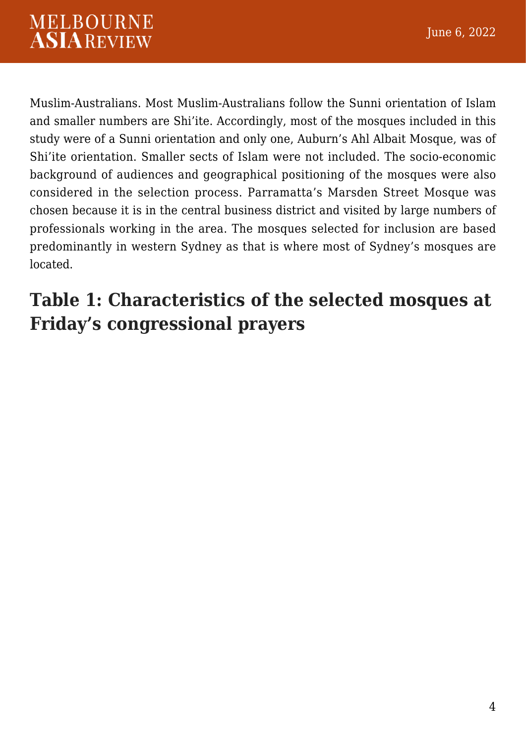Muslim-Australians. Most Muslim-Australians follow the Sunni orientation of Islam and smaller numbers are Shi'ite. Accordingly, most of the mosques included in this study were of a Sunni orientation and only one, Auburn's Ahl Albait Mosque, was of Shi'ite orientation. Smaller sects of Islam were not included. The socio-economic background of audiences and geographical positioning of the mosques were also considered in the selection process. Parramatta's Marsden Street Mosque was chosen because it is in the central business district and visited by large numbers of professionals working in the area. The mosques selected for inclusion are based predominantly in western Sydney as that is where most of Sydney's mosques are located.

#### **Table 1: Characteristics of the selected mosques at Friday's congressional prayers**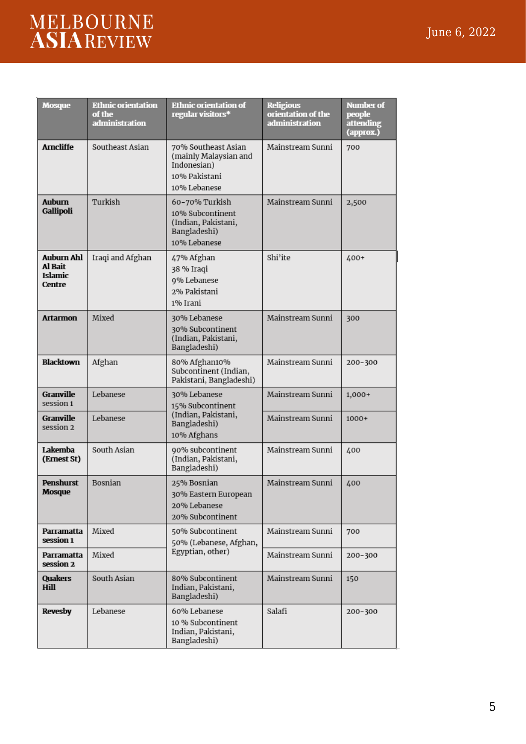# MELBOURNE<br>ASIAREVIEW

| <b>Mosque</b>                                     | <b>Ethnic orientation</b><br>of the<br>administration | <b>Ethnic orientation of</b><br>regular visitors*                                            | <b>Religious</b><br>orientation of the<br>administration | <b>Number</b> of<br>people<br>attending<br>(approx.) |
|---------------------------------------------------|-------------------------------------------------------|----------------------------------------------------------------------------------------------|----------------------------------------------------------|------------------------------------------------------|
| <b>Arncliffe</b>                                  | Southeast Asian                                       | 70% Southeast Asian<br>(mainly Malaysian and<br>Indonesian)<br>10% Pakistani<br>10% Lebanese | Mainstream Sunni                                         | 700                                                  |
| <b>Auburn</b><br>Gallipoli                        | Turkish                                               | 60-70% Turkish<br>10% Subcontinent<br>(Indian, Pakistani,<br>Bangladeshi)<br>10% Lebanese    | Mainstream Sunni                                         | 2,500                                                |
| <b>Auburn Ahl</b><br>Al Bait<br>Islamic<br>Centre | Iraqi and Afghan                                      | 47% Afghan<br>38 % Iraqi<br>9% Lebanese<br>2% Pakistani<br>1% Irani                          | Shi'ite                                                  | 400+                                                 |
| <b>Artarmon</b>                                   | Mixed                                                 | 30% Lebanese<br>30% Subcontinent<br>(Indian, Pakistani,<br>Bangladeshi)                      | Mainstream Sunni                                         | 300                                                  |
| Blacktown                                         | Afghan                                                | 80% Afghan10%<br>Subcontinent (Indian,<br>Pakistani, Bangladeshi)                            | Mainstream Sunni                                         | 200-300                                              |
| Granville<br>session 1                            | Lebanese                                              | 30% Lebanese<br>15% Subcontinent                                                             | Mainstream Sunni                                         | 1,000+                                               |
| Granville<br>session 2                            | Lebanese                                              | (Indian, Pakistani,<br>Bangladeshi)<br>10% Afghans                                           | Mainstream Sunni                                         | $1000+$                                              |
| Lakemba<br>(Ernest St)                            | South Asian                                           | 90% subcontinent<br>(Indian, Pakistani,<br>Bangladeshi)                                      | Mainstream Sunni                                         | 400                                                  |
| Penshurst<br>Mosque                               | Bosnian                                               | 25% Bosnian<br>30% Eastern European<br>20% Lebanese<br>20% Subcontinent                      | Mainstream Sunni                                         | 400                                                  |
| Parramatta<br>session 1                           | Mixed                                                 | 50% Subcontinent<br>50% (Lebanese, Afghan,                                                   | Mainstream Sunni                                         | 700                                                  |
| Parramatta<br>session 2                           | Mixed                                                 | Egyptian, other)                                                                             | Mainstream Sunni                                         | 200-300                                              |
| Quakers<br><b>Hill</b>                            | South Asian                                           | 80% Subcontinent<br>Indian, Pakistani,<br>Bangladeshi)                                       | Mainstream Sunni                                         | 150                                                  |
| Revesby                                           | Lebanese                                              | 60% Lebanese<br>10 % Subcontinent<br>Indian, Pakistani,<br>Bangladeshi)                      | Salafi                                                   | 200-300                                              |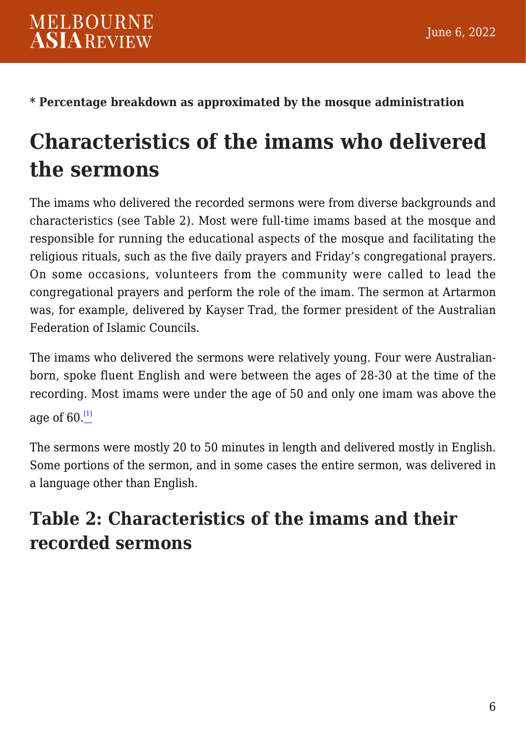**\* Percentage breakdown as approximated by the mosque administration**

## **Characteristics of the imams who delivered the sermons**

The imams who delivered the recorded sermons were from diverse backgrounds and characteristics (see Table 2). Most were full-time imams based at the mosque and responsible for running the educational aspects of the mosque and facilitating the religious rituals, such as the five daily prayers and Friday's congregational prayers. On some occasions, volunteers from the community were called to lead the congregational prayers and perform the role of the imam. The sermon at Artarmon was, for example, delivered by Kayser Trad, the former president of the Australian Federation of Islamic Councils.

The imams who delivered the sermons were relatively young. Four were Australianborn, spoke fluent English and were between the ages of 28-30 at the time of the recording. Most imams were under the age of 50 and only one imam was above the age of  $60.$  $^{[1]}$  $^{[1]}$  $^{[1]}$ 

<span id="page-5-0"></span>The sermons were mostly 20 to 50 minutes in length and delivered mostly in English. Some portions of the sermon, and in some cases the entire sermon, was delivered in a language other than English.

#### **Table 2: Characteristics of the imams and their recorded sermons**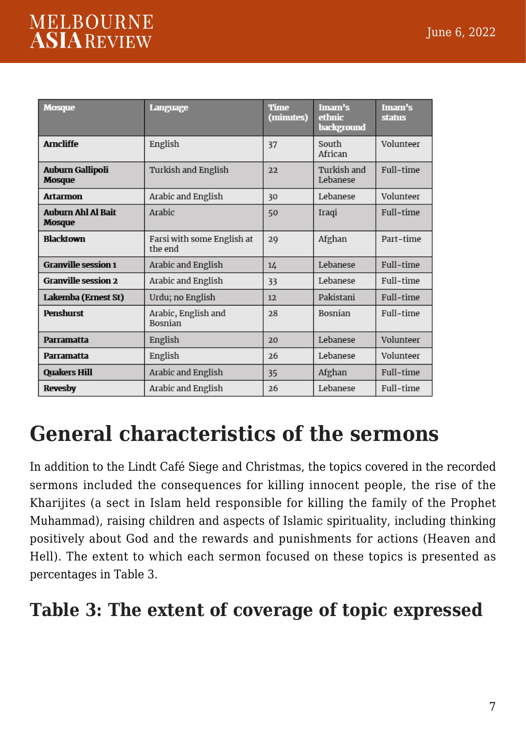#### **MELBOURNE ASIAREVIEW**

| <b>Mosque</b>                              | Language                              | <b>Time</b><br>(minutes) | Imam's<br>ethnic<br>background | Imam's<br><b>status</b> |
|--------------------------------------------|---------------------------------------|--------------------------|--------------------------------|-------------------------|
| <b>Amcliffe</b>                            | English                               | 37                       | South<br>African               | Volunteer               |
| Auburn Gallipoli<br>Mosque                 | Turkish and English                   | 22                       | Turkish and<br>Lebanese        | Full-time               |
| <b>Artarmon</b>                            | Arabic and English                    | 30                       | Lebanese                       | Volunteer               |
| <b>Auburn Ahl Al Bait</b><br><b>Mosque</b> | Arabic                                | 50                       | Iraqi                          | Full-time               |
| <b>Blacktown</b>                           | Farsi with some English at<br>the end | 29                       | Afghan                         | Part-time               |
| <b>Granville session 1</b>                 | Arabic and English                    | 14                       | Lebanese                       | Full-time               |
| <b>Granville session 2</b>                 | Arabic and English                    | 33                       | Lebanese                       | Full-time               |
| Lakemba (Ernest St)                        | Urdu; no English                      | 12                       | Pakistani                      | Full-time               |
| <b>Penshurst</b>                           | Arabic, English and<br><b>Bosnian</b> | 28                       | Bosnian                        | Full-time               |
| Parramatta                                 | English                               | 20                       | Lebanese                       | Volunteer               |
| Parramatta                                 | English                               | 26                       | Lebanese                       | Volunteer               |
| <b>Quakers Hill</b>                        | Arabic and English                    | 35                       | Afghan                         | Full-time               |
| <b>Revesby</b>                             | Arabic and English                    | 26                       | Lebanese                       | Full-time               |

#### **General characteristics of the sermons**

In addition to the Lindt Café Siege and Christmas, the topics covered in the recorded sermons included the consequences for killing innocent people, the rise of the Kharijites (a sect in Islam held responsible for killing the family of the Prophet Muhammad), raising children and aspects of Islamic spirituality, including thinking positively about God and the rewards and punishments for actions (Heaven and Hell). The extent to which each sermon focused on these topics is presented as percentages in Table 3.

#### **Table 3: The extent of coverage of topic expressed**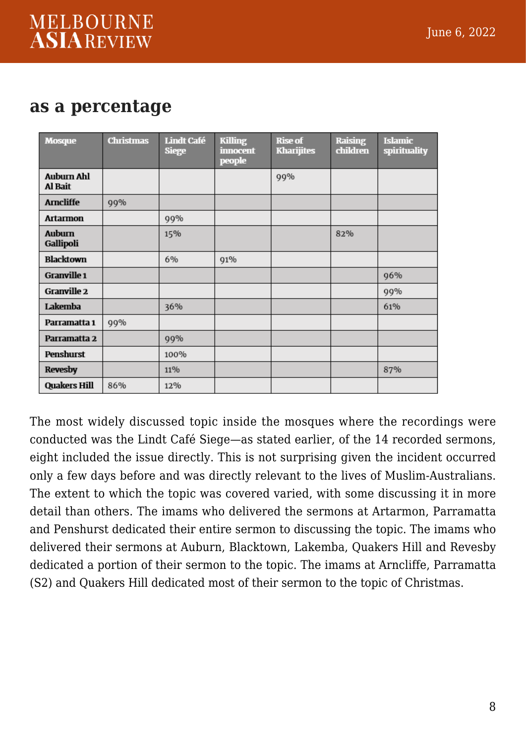#### **as a percentage**

| <b>Mosque</b>                | <b>Christmas</b> | <b>Lindt Café</b><br><b>Siege</b> | <b>Killing</b><br><b>innocent</b><br>people | <b>Rise of</b><br><b>Kharijites</b> | <b>Raising</b><br>children | <b>Islamic</b><br>spirituality |
|------------------------------|------------------|-----------------------------------|---------------------------------------------|-------------------------------------|----------------------------|--------------------------------|
| <b>Auburn Ahl</b><br>Al Bait |                  |                                   |                                             | 99%                                 |                            |                                |
| <b>Arncliffe</b>             | 99%              |                                   |                                             |                                     |                            |                                |
| <b>Artarmon</b>              |                  | 99%                               |                                             |                                     |                            |                                |
| <b>Auburn</b><br>Gallipoli   |                  | 15%                               |                                             |                                     | 82%                        |                                |
| <b>Blacktown</b>             |                  | 6%                                | 91%                                         |                                     |                            |                                |
| Granville 1                  |                  |                                   |                                             |                                     |                            | 96%                            |
| Granville 2                  |                  |                                   |                                             |                                     |                            | 99%                            |
| Lakemba                      |                  | 36%                               |                                             |                                     |                            | 61%                            |
| Parramatta 1                 | 99%              |                                   |                                             |                                     |                            |                                |
| Parramatta 2                 |                  | 99%                               |                                             |                                     |                            |                                |
| Penshurst                    |                  | 100%                              |                                             |                                     |                            |                                |
| <b>Revesby</b>               |                  | 11%                               |                                             |                                     |                            | 87%                            |
| <b>Quakers Hill</b>          | 86%              | 12%                               |                                             |                                     |                            |                                |

The most widely discussed topic inside the mosques where the recordings were conducted was the Lindt Café Siege—as stated earlier, of the 14 recorded sermons, eight included the issue directly. This is not surprising given the incident occurred only a few days before and was directly relevant to the lives of Muslim-Australians. The extent to which the topic was covered varied, with some discussing it in more detail than others. The imams who delivered the sermons at Artarmon, Parramatta and Penshurst dedicated their entire sermon to discussing the topic. The imams who delivered their sermons at Auburn, Blacktown, Lakemba, Quakers Hill and Revesby dedicated a portion of their sermon to the topic. The imams at Arncliffe, Parramatta (S2) and Quakers Hill dedicated most of their sermon to the topic of Christmas.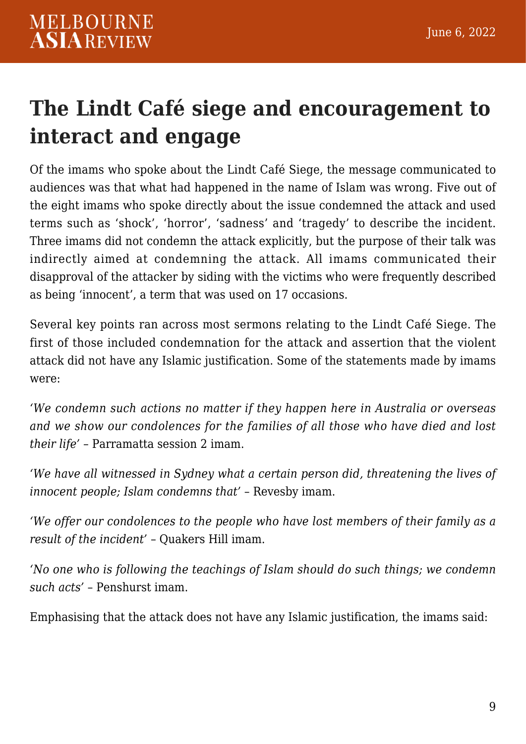## **The Lindt Café siege and encouragement to interact and engage**

Of the imams who spoke about the Lindt Café Siege, the message communicated to audiences was that what had happened in the name of Islam was wrong. Five out of the eight imams who spoke directly about the issue condemned the attack and used terms such as 'shock', 'horror', 'sadness' and 'tragedy' to describe the incident. Three imams did not condemn the attack explicitly, but the purpose of their talk was indirectly aimed at condemning the attack. All imams communicated their disapproval of the attacker by siding with the victims who were frequently described as being 'innocent', a term that was used on 17 occasions.

Several key points ran across most sermons relating to the Lindt Café Siege. The first of those included condemnation for the attack and assertion that the violent attack did not have any Islamic justification. Some of the statements made by imams were:

*'We condemn such actions no matter if they happen here in Australia or overseas and we show our condolences for the families of all those who have died and lost their life'* – Parramatta session 2 imam.

*'We have all witnessed in Sydney what a certain person did, threatening the lives of innocent people; Islam condemns that'* – Revesby imam.

*'We offer our condolences to the people who have lost members of their family as a result of the incident'* – Quakers Hill imam.

*'No one who is following the teachings of Islam should do such things; we condemn such acts'* – Penshurst imam.

Emphasising that the attack does not have any Islamic justification, the imams said: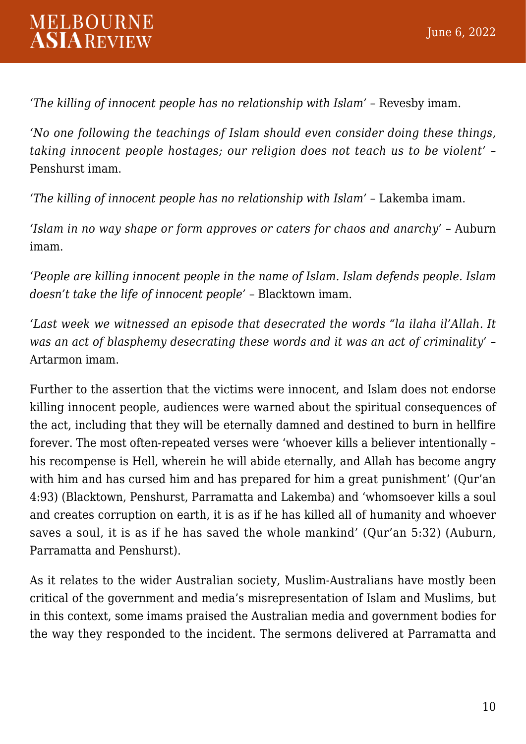*'The killing of innocent people has no relationship with Islam'* – Revesby imam.

*'No one following the teachings of Islam should even consider doing these things, taking innocent people hostages; our religion does not teach us to be violent'* – Penshurst imam.

*'The killing of innocent people has no relationship with Islam'* – Lakemba imam.

*'Islam in no way shape or form approves or caters for chaos and anarchy'* – Auburn imam.

*'People are killing innocent people in the name of Islam. Islam defends people. Islam doesn't take the life of innocent people'* – Blacktown imam.

*'Last week we witnessed an episode that desecrated the words "la ilaha il'Allah. It was an act of blasphemy desecrating these words and it was an act of criminality'* – Artarmon imam.

Further to the assertion that the victims were innocent, and Islam does not endorse killing innocent people, audiences were warned about the spiritual consequences of the act, including that they will be eternally damned and destined to burn in hellfire forever. The most often-repeated verses were 'whoever kills a believer intentionally – his recompense is Hell, wherein he will abide eternally, and Allah has become angry with him and has cursed him and has prepared for him a great punishment' (Qur'an 4:93) (Blacktown, Penshurst, Parramatta and Lakemba) and 'whomsoever kills a soul and creates corruption on earth, it is as if he has killed all of humanity and whoever saves a soul, it is as if he has saved the whole mankind' (Qur'an 5:32) (Auburn, Parramatta and Penshurst).

As it relates to the wider Australian society, Muslim-Australians have mostly been critical of the government and media's misrepresentation of Islam and Muslims, but in this context, some imams praised the Australian media and government bodies for the way they responded to the incident. The sermons delivered at Parramatta and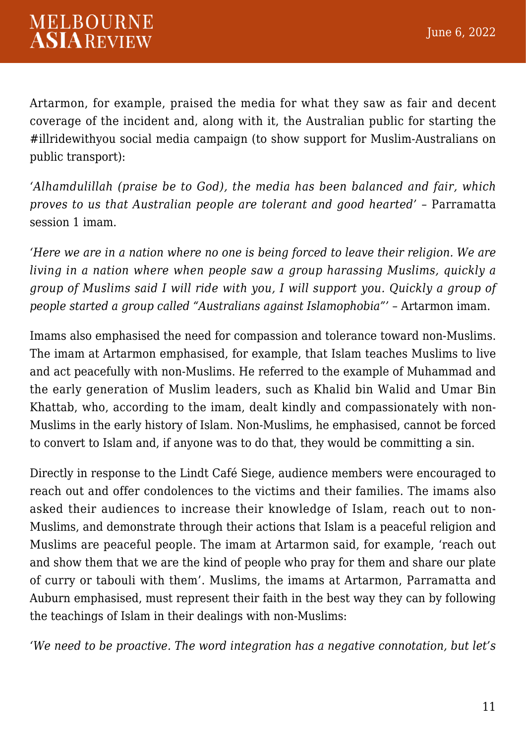Artarmon, for example, praised the media for what they saw as fair and decent coverage of the incident and, along with it, the Australian public for starting the #illridewithyou social media campaign (to show support for Muslim-Australians on public transport):

*'Alhamdulillah (praise be to God), the media has been balanced and fair, which proves to us that Australian people are tolerant and good hearted'* – Parramatta session 1 imam.

*'Here we are in a nation where no one is being forced to leave their religion. We are living in a nation where when people saw a group harassing Muslims, quickly a group of Muslims said I will ride with you, I will support you. Quickly a group of people started a group called "Australians against Islamophobia"'* – Artarmon imam.

Imams also emphasised the need for compassion and tolerance toward non-Muslims. The imam at Artarmon emphasised, for example, that Islam teaches Muslims to live and act peacefully with non-Muslims. He referred to the example of Muhammad and the early generation of Muslim leaders, such as Khalid bin Walid and Umar Bin Khattab, who, according to the imam, dealt kindly and compassionately with non-Muslims in the early history of Islam. Non-Muslims, he emphasised, cannot be forced to convert to Islam and, if anyone was to do that, they would be committing a sin.

Directly in response to the Lindt Café Siege, audience members were encouraged to reach out and offer condolences to the victims and their families. The imams also asked their audiences to increase their knowledge of Islam, reach out to non-Muslims, and demonstrate through their actions that Islam is a peaceful religion and Muslims are peaceful people. The imam at Artarmon said, for example, 'reach out and show them that we are the kind of people who pray for them and share our plate of curry or tabouli with them'. Muslims, the imams at Artarmon, Parramatta and Auburn emphasised, must represent their faith in the best way they can by following the teachings of Islam in their dealings with non-Muslims:

*'We need to be proactive. The word integration has a negative connotation, but let's*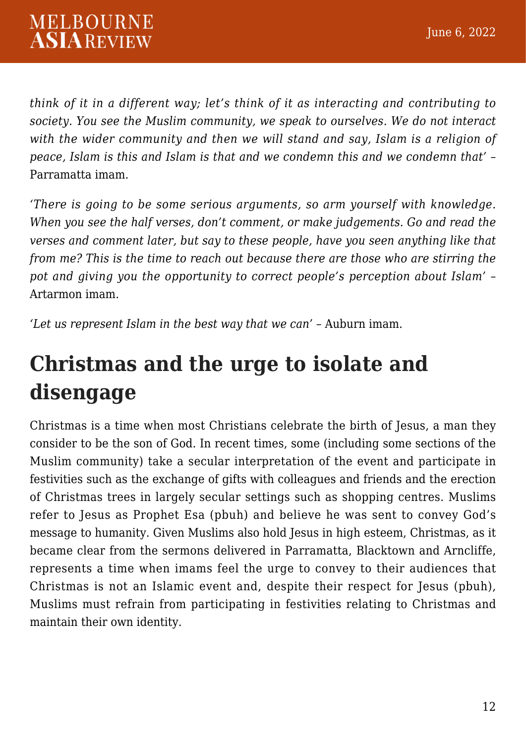*think of it in a different way; let's think of it as interacting and contributing to society. You see the Muslim community, we speak to ourselves. We do not interact with the wider community and then we will stand and say, Islam is a religion of peace, Islam is this and Islam is that and we condemn this and we condemn that'* – Parramatta imam.

*'There is going to be some serious arguments, so arm yourself with knowledge. When you see the half verses, don't comment, or make judgements. Go and read the verses and comment later, but say to these people, have you seen anything like that from me? This is the time to reach out because there are those who are stirring the pot and giving you the opportunity to correct people's perception about Islam'* – Artarmon imam.

*'Let us represent Islam in the best way that we can'* – Auburn imam.

## **Christmas and the urge to isolate and disengage**

Christmas is a time when most Christians celebrate the birth of Jesus, a man they consider to be the son of God. In recent times, some (including some sections of the Muslim community) take a secular interpretation of the event and participate in festivities such as the exchange of gifts with colleagues and friends and the erection of Christmas trees in largely secular settings such as shopping centres. Muslims refer to Jesus as Prophet Esa (pbuh) and believe he was sent to convey God's message to humanity. Given Muslims also hold Jesus in high esteem, Christmas, as it became clear from the sermons delivered in Parramatta, Blacktown and Arncliffe, represents a time when imams feel the urge to convey to their audiences that Christmas is not an Islamic event and, despite their respect for Jesus (pbuh), Muslims must refrain from participating in festivities relating to Christmas and maintain their own identity.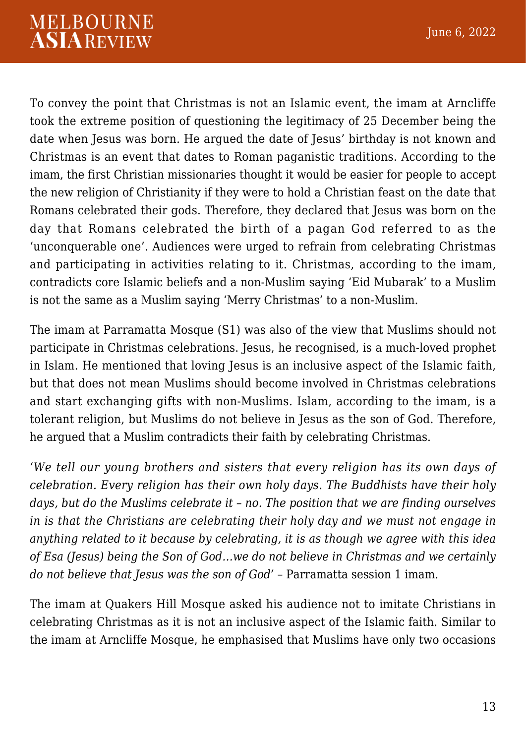To convey the point that Christmas is not an Islamic event, the imam at Arncliffe took the extreme position of questioning the legitimacy of 25 December being the date when Jesus was born. He argued the date of Jesus' birthday is not known and Christmas is an event that dates to Roman paganistic traditions. According to the imam, the first Christian missionaries thought it would be easier for people to accept the new religion of Christianity if they were to hold a Christian feast on the date that Romans celebrated their gods. Therefore, they declared that Jesus was born on the day that Romans celebrated the birth of a pagan God referred to as the 'unconquerable one'. Audiences were urged to refrain from celebrating Christmas and participating in activities relating to it. Christmas, according to the imam, contradicts core Islamic beliefs and a non-Muslim saying 'Eid Mubarak' to a Muslim is not the same as a Muslim saying 'Merry Christmas' to a non-Muslim.

The imam at Parramatta Mosque (S1) was also of the view that Muslims should not participate in Christmas celebrations. Jesus, he recognised, is a much-loved prophet in Islam. He mentioned that loving Jesus is an inclusive aspect of the Islamic faith, but that does not mean Muslims should become involved in Christmas celebrations and start exchanging gifts with non-Muslims. Islam, according to the imam, is a tolerant religion, but Muslims do not believe in Jesus as the son of God. Therefore, he argued that a Muslim contradicts their faith by celebrating Christmas.

*'We tell our young brothers and sisters that every religion has its own days of celebration. Every religion has their own holy days. The Buddhists have their holy days, but do the Muslims celebrate it – no. The position that we are finding ourselves in is that the Christians are celebrating their holy day and we must not engage in anything related to it because by celebrating, it is as though we agree with this idea of Esa (Jesus) being the Son of God…we do not believe in Christmas and we certainly do not believe that Jesus was the son of God'* – Parramatta session 1 imam.

The imam at Quakers Hill Mosque asked his audience not to imitate Christians in celebrating Christmas as it is not an inclusive aspect of the Islamic faith. Similar to the imam at Arncliffe Mosque, he emphasised that Muslims have only two occasions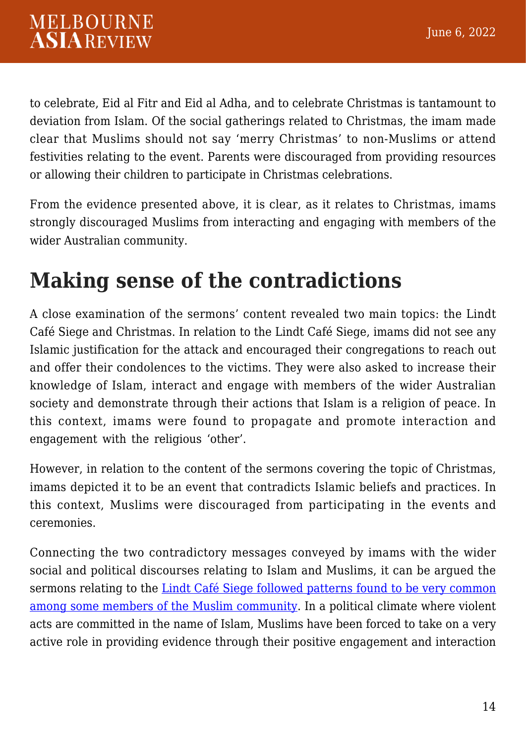to celebrate, Eid al Fitr and Eid al Adha, and to celebrate Christmas is tantamount to deviation from Islam. Of the social gatherings related to Christmas, the imam made clear that Muslims should not say 'merry Christmas' to non-Muslims or attend festivities relating to the event. Parents were discouraged from providing resources or allowing their children to participate in Christmas celebrations.

From the evidence presented above, it is clear, as it relates to Christmas, imams strongly discouraged Muslims from interacting and engaging with members of the wider Australian community.

#### **Making sense of the contradictions**

A close examination of the sermons' content revealed two main topics: the Lindt Café Siege and Christmas. In relation to the Lindt Café Siege, imams did not see any Islamic justification for the attack and encouraged their congregations to reach out and offer their condolences to the victims. They were also asked to increase their knowledge of Islam, interact and engage with members of the wider Australian society and demonstrate through their actions that Islam is a religion of peace. In this context, imams were found to propagate and promote interaction and engagement with the religious 'other'.

However, in relation to the content of the sermons covering the topic of Christmas, imams depicted it to be an event that contradicts Islamic beliefs and practices. In this context, Muslims were discouraged from participating in the events and ceremonies.

Connecting the two contradictory messages conveyed by imams with the wider social and political discourses relating to Islam and Muslims, it can be argued the sermons relating to the [Lindt Café Siege followed patterns found to be very common](https://www.tandfonline.com/doi/abs/10.1080/09637494.2021.1900766) [among some members of the Muslim community.](https://www.tandfonline.com/doi/abs/10.1080/09637494.2021.1900766) In a political climate where violent acts are committed in the name of Islam, Muslims have been forced to take on a very active role in providing evidence through their positive engagement and interaction